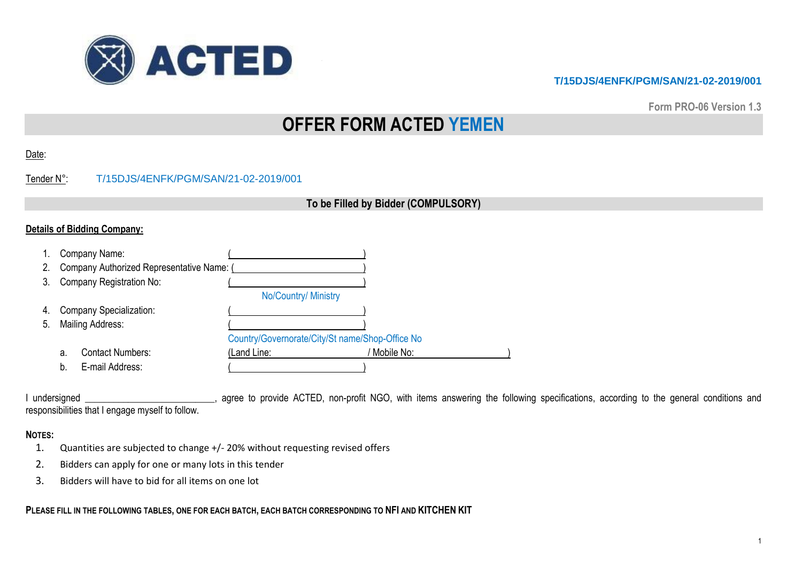

**Form PRO-06 Version 1.3**

# **OFFER FORM ACTED YEMEN**

|--|

# Tender N°: T/15DJS/4ENFK/PGM/SAN/21-02-2019/001

# **To be Filled by Bidder (COMPULSORY)**

### **Details of Bidding Company:**

|    |    | Company Name:                             |                                                 |            |
|----|----|-------------------------------------------|-------------------------------------------------|------------|
| 2. |    | Company Authorized Representative Name: ( |                                                 |            |
| 3. |    | Company Registration No:                  |                                                 |            |
|    |    |                                           | No/Country/ Ministry                            |            |
| 4. |    | <b>Company Specialization:</b>            |                                                 |            |
| 5. |    | Mailing Address:                          |                                                 |            |
|    |    |                                           | Country/Governorate/City/St name/Shop-Office No |            |
|    | а. | <b>Contact Numbers:</b>                   | (Land Line:                                     | Mobile No: |
|    | b. | E-mail Address:                           |                                                 |            |

I undersigned \_\_\_\_\_\_\_\_\_\_\_\_\_\_\_\_\_\_\_\_\_\_\_\_, agree to provide ACTED, non-profit NGO, with items answering the following specifications, according to the general conditions and responsibilities that I engage myself to follow.

#### **NOTES:**

- 1. Quantities are subjected to change +/- 20% without requesting revised offers
- 2. Bidders can apply for one or many lots in this tender
- 3. Bidders will have to bid for all items on one lot

**PLEASE FILL IN THE FOLLOWING TABLES, ONE FOR EACH BATCH, EACH BATCH CORRESPONDING TO NFI AND KITCHEN KIT**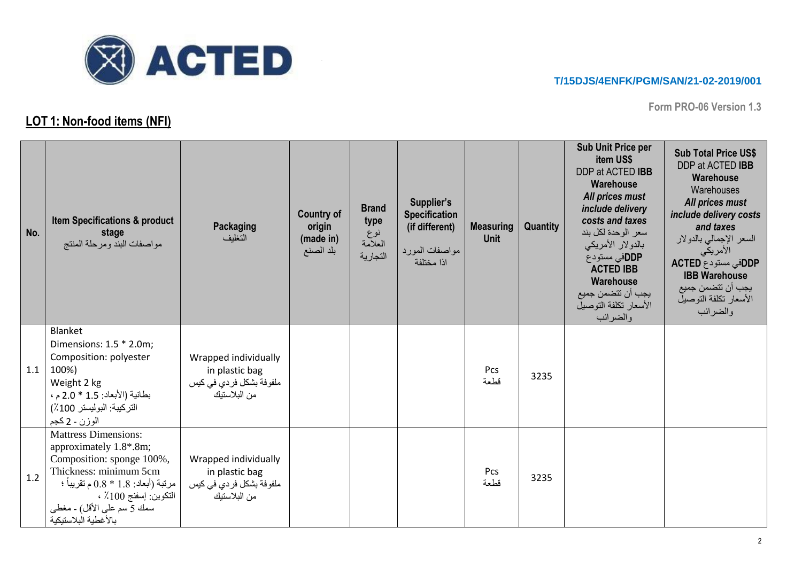

**Form PRO-06 Version 1.3**

# **LOT 1: Non-food items (NFI)**

| No. | <b>Item Specifications &amp; product</b><br>stage<br>مواصفات البند ومرحلة المنتج                                                                                                                                                   | Packaging<br>التغليف                                                                | <b>Country of</b><br>origin<br>(made in)<br>بلد الصنع | <b>Brand</b><br>type<br>نوع<br>العلامة<br>التجارية | Supplier's<br><b>Specification</b><br>(if different)<br>مواصفات المورد<br>اذا مختلفة | <b>Measuring</b><br><b>Unit</b> | Quantity | <b>Sub Unit Price per</b><br>item US\$<br>DDP at ACTED IBB<br><b>Warehouse</b><br>All prices must<br>include delivery<br>costs and taxes<br>سعر الوحدة لكل بند<br>بالدولار الأمريكي<br>DDPفي مستودع<br><b>ACTED IBB</b><br>Warehouse<br>يجب أن تتضمن جميع<br>الأسعار تكلفة التوصيل<br>والضرائب | <b>Sub Total Price US\$</b><br>DDP at ACTED IBB<br>Warehouse<br>Warehouses<br>All prices must<br>include delivery costs<br>and taxes<br>السعر الإجمالي بالدولار<br>الأمريكي<br>DDPفی مستودع ACTED<br><b>IBB Warehouse</b><br>يجب أن تتضمن جميع<br>الأسعار تكلفة التوصيل<br>والضرائب |
|-----|------------------------------------------------------------------------------------------------------------------------------------------------------------------------------------------------------------------------------------|-------------------------------------------------------------------------------------|-------------------------------------------------------|----------------------------------------------------|--------------------------------------------------------------------------------------|---------------------------------|----------|------------------------------------------------------------------------------------------------------------------------------------------------------------------------------------------------------------------------------------------------------------------------------------------------|-------------------------------------------------------------------------------------------------------------------------------------------------------------------------------------------------------------------------------------------------------------------------------------|
| 1.1 | Blanket<br>Dimensions: 1.5 * 2.0m;<br>Composition: polyester<br>100%)<br>Weight 2 kg<br>بطانية (الأبعاد: 1.5 * 2.0 م،<br>التركيبة: البوليستر 100٪)<br>الوزن - 2 كجم                                                                | Wrapped individually<br>in plastic bag<br>ملفو فة بشكل فر دي في كيس<br>من البلاستيك |                                                       |                                                    |                                                                                      | Pcs<br>قطعة                     | 3235     |                                                                                                                                                                                                                                                                                                |                                                                                                                                                                                                                                                                                     |
| 1.2 | <b>Mattress Dimensions:</b><br>approximately 1.8*.8m;<br>Composition: sponge 100%,<br>Thickness: minimum 5cm<br>مرتبة (أبعاد: 1.8 * 0.8 م تقريباً ؛<br>التكوين: إسفنج 100٪ ،<br>سمك 5 سم على الأقل) - مغطى<br>بالأغطبة البلاستبكبة | Wrapped individually<br>in plastic bag<br>ملفو فة بشكل فر دي في كيس<br>من البلاستيك |                                                       |                                                    |                                                                                      | Pcs<br>قطعة                     | 3235     |                                                                                                                                                                                                                                                                                                |                                                                                                                                                                                                                                                                                     |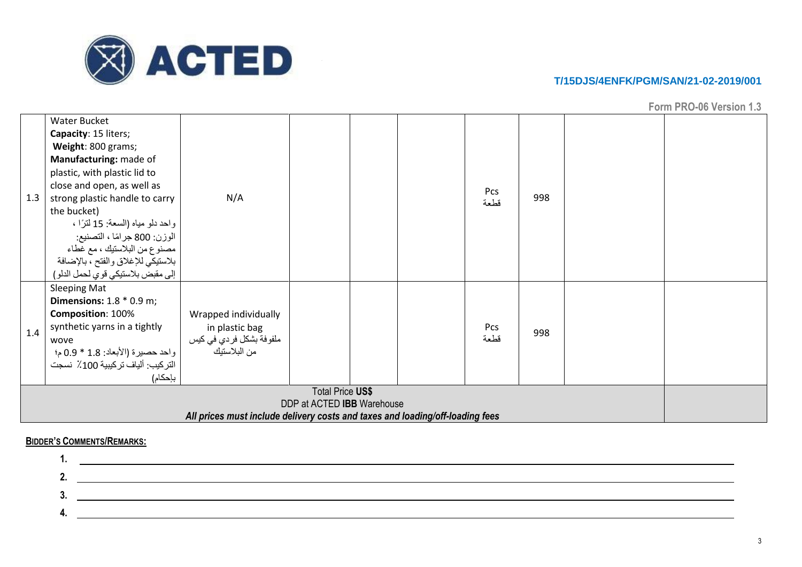

**Form PRO-06 Version 1.3**

|     | <b>Water Bucket</b>                |                         |                                                                               |  |  |      |     |  |  |  |  |  |
|-----|------------------------------------|-------------------------|-------------------------------------------------------------------------------|--|--|------|-----|--|--|--|--|--|
|     | Capacity: 15 liters;               |                         |                                                                               |  |  |      |     |  |  |  |  |  |
|     | Weight: 800 grams;                 |                         |                                                                               |  |  |      |     |  |  |  |  |  |
|     | Manufacturing: made of             |                         |                                                                               |  |  |      |     |  |  |  |  |  |
|     | plastic, with plastic lid to       |                         |                                                                               |  |  |      |     |  |  |  |  |  |
|     | close and open, as well as         |                         |                                                                               |  |  | Pcs  |     |  |  |  |  |  |
| 1.3 | strong plastic handle to carry     | N/A                     |                                                                               |  |  | قطعة | 998 |  |  |  |  |  |
|     | the bucket)                        |                         |                                                                               |  |  |      |     |  |  |  |  |  |
|     | واحد دلو مياه (السعة: 15 لترًا ،   |                         |                                                                               |  |  |      |     |  |  |  |  |  |
|     | الوزن: 800 جرامًا ، التصنيع:       |                         |                                                                               |  |  |      |     |  |  |  |  |  |
|     | مصنوع من البلاستيك ، مع غطاء       |                         |                                                                               |  |  |      |     |  |  |  |  |  |
|     | بلاستيكي للإغلاق والفتح ، بالإضافة |                         |                                                                               |  |  |      |     |  |  |  |  |  |
|     | إلى مقبض بلاستيكي قوي لحمل الدلو ) |                         |                                                                               |  |  |      |     |  |  |  |  |  |
|     | <b>Sleeping Mat</b>                |                         |                                                                               |  |  |      |     |  |  |  |  |  |
|     | <b>Dimensions:</b> $1.8 * 0.9$ m;  |                         |                                                                               |  |  |      |     |  |  |  |  |  |
|     | Composition: 100%                  | Wrapped individually    |                                                                               |  |  |      |     |  |  |  |  |  |
| 1.4 | synthetic yarns in a tightly       | in plastic bag          |                                                                               |  |  | Pcs  | 998 |  |  |  |  |  |
|     | wove                               | ملفوفة بشكل فردي في كيس |                                                                               |  |  | قطعة |     |  |  |  |  |  |
|     | واحد حصيرة (الأبعاد: 1.8 * 0.9 م؛  | من البلاستيك            |                                                                               |  |  |      |     |  |  |  |  |  |
|     | التركيب: ألياف تركيبية 100٪ نسجت   |                         |                                                                               |  |  |      |     |  |  |  |  |  |
|     | بإحكام)                            |                         |                                                                               |  |  |      |     |  |  |  |  |  |
|     |                                    |                         | <b>Total Price US\$</b>                                                       |  |  |      |     |  |  |  |  |  |
|     |                                    |                         | DDP at ACTED IBB Warehouse                                                    |  |  |      |     |  |  |  |  |  |
|     |                                    |                         | All prices must include delivery costs and taxes and loading/off-loading fees |  |  |      |     |  |  |  |  |  |

#### **BIDDER'S COMMENTS/REMARKS:**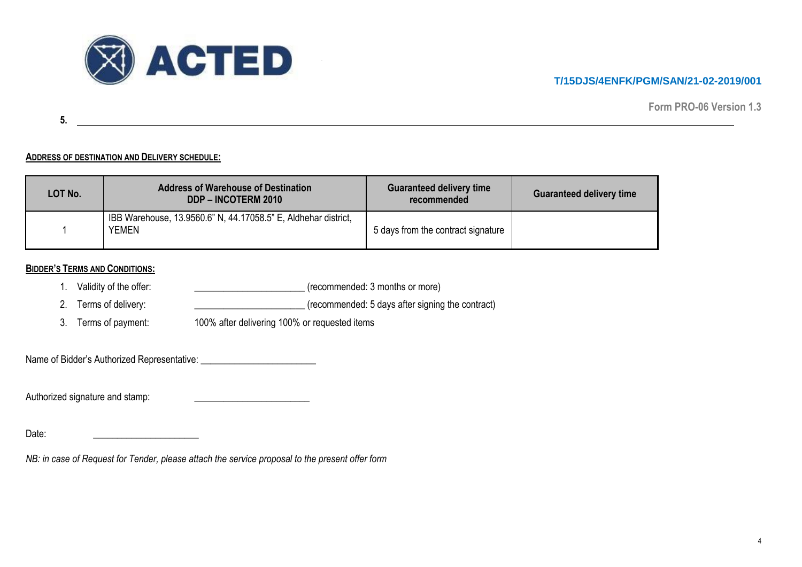

**Form PRO-06 Version 1.3**

**5.**

#### **ADDRESS OF DESTINATION AND DELIVERY SCHEDULE:**

| LOT No. | <b>Address of Warehouse of Destination</b><br><b>DDP - INCOTERM 2010</b> | <b>Guaranteed delivery time</b><br>recommended | <b>Guaranteed delivery time</b> |
|---------|--------------------------------------------------------------------------|------------------------------------------------|---------------------------------|
|         | IBB Warehouse, 13.9560.6" N, 44.17058.5" E, Aldhehar district,<br>YEMEN  | 5 days from the contract signature             |                                 |

#### **BIDDER'S TERMS AND CONDITIONS:**

- 1. Validity of the offer:  $(reconnected: 3 months or more)$
- 2. Terms of delivery: \_\_\_\_\_\_\_\_\_\_\_\_\_\_\_\_\_\_\_\_\_\_\_\_\_\_\_\_\_\_\_\_(recommended: 5 days after signing the contract)
- 3. Terms of payment: 100% after delivering 100% or requested items

Name of Bidder's Authorized Representative: \_\_\_\_\_\_\_\_\_\_\_\_\_\_\_\_\_\_\_\_\_\_\_\_

Authorized signature and stamp: \_\_\_\_\_\_\_\_\_\_\_\_\_\_\_\_\_\_\_\_\_\_\_\_

Date: \_\_\_\_\_\_\_\_\_\_\_\_\_\_\_\_\_\_\_\_\_\_

*NB: in case of Request for Tender, please attach the service proposal to the present offer form*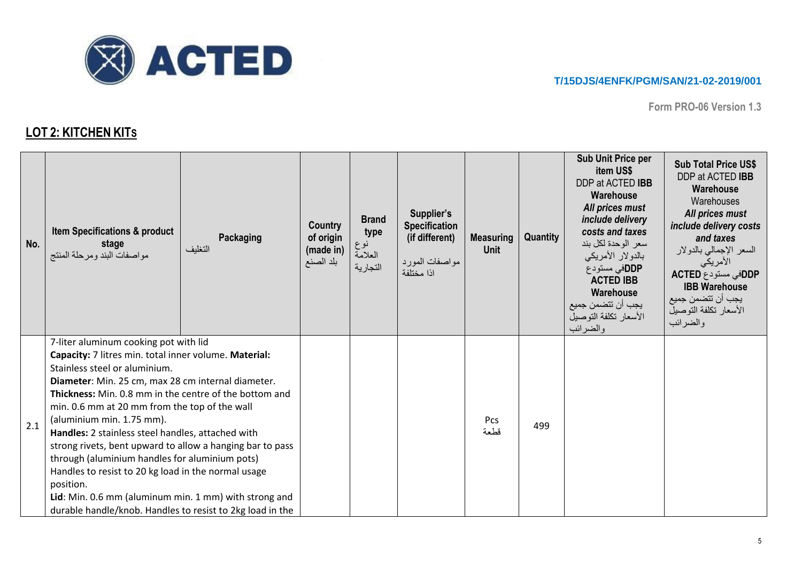

**Form PRO-06 Version 1.3**

# **LOT 2: KITCHEN KITS**

| No. | <b>Item Specifications &amp; product</b><br>stage<br>مواصفات البند ومرحلة المنتج                                                                                                                                                                                                                                                                                                                                                                                                                                                                                                                                                                                                                   | <b>Packaging</b><br>التغليف | Country<br>of origin<br>(made in)<br>بلد الصنع | <b>Brand</b><br>type<br>نوع<br>العلامة<br>التجارية | Supplier's<br><b>Specification</b><br>(if different)<br>مواصفات المورد<br>اذا مختلفة | <b>Measuring</b><br><b>Unit</b> | Quantity | Sub Unit Price per<br>item US\$<br>DDP at ACTED IBB<br>Warehouse<br>All prices must<br>include delivery<br>costs and taxes<br>سعر الوحدة لكل بند<br>بالدولار الأمريكي<br>DDPفي مستودع<br><b>ACTED IBB</b><br>Warehouse<br>يجب أن تتضمن جميع<br>الأسعار تكلفة التوصيل<br>والضرائب | <b>Sub Total Price US\$</b><br>DDP at ACTED IBB<br>Warehouse<br>Warehouses<br>All prices must<br>include delivery costs<br>and taxes<br>السعر الإجمالي بالدولار<br>الأمريكي<br>DDPفی مستودع ACTED<br><b>IBB Warehouse</b><br>يجب أن تتضمن جميع<br>الأسعار تكلفة التوصيل<br>والضرائب |
|-----|----------------------------------------------------------------------------------------------------------------------------------------------------------------------------------------------------------------------------------------------------------------------------------------------------------------------------------------------------------------------------------------------------------------------------------------------------------------------------------------------------------------------------------------------------------------------------------------------------------------------------------------------------------------------------------------------------|-----------------------------|------------------------------------------------|----------------------------------------------------|--------------------------------------------------------------------------------------|---------------------------------|----------|----------------------------------------------------------------------------------------------------------------------------------------------------------------------------------------------------------------------------------------------------------------------------------|-------------------------------------------------------------------------------------------------------------------------------------------------------------------------------------------------------------------------------------------------------------------------------------|
| 2.1 | 7-liter aluminum cooking pot with lid<br>Capacity: 7 litres min. total inner volume. Material:<br>Stainless steel or aluminium.<br>Diameter: Min. 25 cm, max 28 cm internal diameter.<br><b>Thickness:</b> Min. 0.8 mm in the centre of the bottom and<br>min. 0.6 mm at 20 mm from the top of the wall<br>(aluminium min. 1.75 mm).<br>Handles: 2 stainless steel handles, attached with<br>strong rivets, bent upward to allow a hanging bar to pass<br>through (aluminium handles for aluminium pots)<br>Handles to resist to 20 kg load in the normal usage<br>position.<br>Lid: Min. 0.6 mm (aluminum min. 1 mm) with strong and<br>durable handle/knob. Handles to resist to 2kg load in the |                             |                                                |                                                    |                                                                                      | Pcs<br>قطعة                     | 499      |                                                                                                                                                                                                                                                                                  |                                                                                                                                                                                                                                                                                     |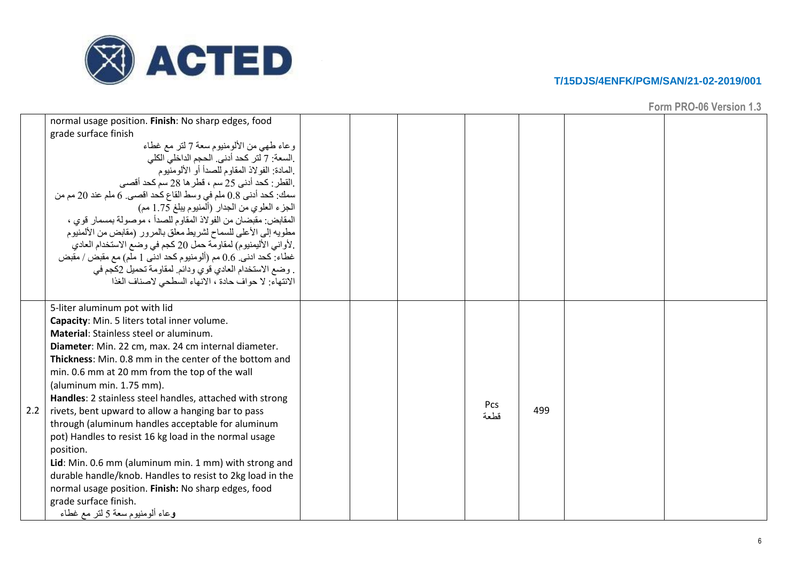

|     | normal usage position. Finish: No sharp edges, food<br>grade surface finish<br>وعاء طهي من الألومنيوم سعة 7 لتر مع غطاء<br>.السعة: 7 لتر كحد أدني. الحجم الداخلي الكلي<br>ِالمادة: الفو لاذ المقاوم للصدأ أو الألومنيوم<br>القطر: كحد أدنى 25 سم ، قطر ها 28 سم كحد أقصى<br>سمك: كحد أدنى 0.8 ملم في وسط القاع كحد اقصبي. 6 ملم عند 20 مم من<br>الجزء العلوي من الجدار (المنيوم يبلغ 1.75 مم)<br>المقابض: مقبضان من الفو لاذ المقاوم للصدأ ، مو صولة بمسمار  قو ي ،<br>مطويه إلى الأعلى للسماح لشريط معلق بالمرور (مقابض من الألمنيوم<br>.لأواني الأليمنيوم) لمقاومة حمل 20 كجم في وضع الاستخدام العادي<br>غطاء: كحد ادني. 0.6 مم (ألومنيوم كحد ادنى 1 ملم) مع مقبض / مقبض<br>. وضع الاستخدام العادي قوى ودائم. لمقاومة تحميل 2كجم في                                             |  |             |     |  |
|-----|-----------------------------------------------------------------------------------------------------------------------------------------------------------------------------------------------------------------------------------------------------------------------------------------------------------------------------------------------------------------------------------------------------------------------------------------------------------------------------------------------------------------------------------------------------------------------------------------------------------------------------------------------------------------------------------------------------------------------------------------------------------------------------------|--|-------------|-----|--|
|     | الانتهاء: لا حواف حادة ، الانهاء السطحي لاصناف الغذا<br>5-liter aluminum pot with lid                                                                                                                                                                                                                                                                                                                                                                                                                                                                                                                                                                                                                                                                                             |  |             |     |  |
| 2.2 | Capacity: Min. 5 liters total inner volume.<br><b>Material: Stainless steel or aluminum.</b><br>Diameter: Min. 22 cm, max. 24 cm internal diameter.<br>Thickness: Min. 0.8 mm in the center of the bottom and<br>min. 0.6 mm at 20 mm from the top of the wall<br>(aluminum min. 1.75 mm).<br>Handles: 2 stainless steel handles, attached with strong<br>rivets, bent upward to allow a hanging bar to pass<br>through (aluminum handles acceptable for aluminum<br>pot) Handles to resist 16 kg load in the normal usage<br>position.<br>Lid: Min. 0.6 mm (aluminum min. 1 mm) with strong and<br>durable handle/knob. Handles to resist to 2kg load in the<br>normal usage position. Finish: No sharp edges, food<br>grade surface finish.<br>وعاء ألو منيوم سعة 5 لتر مع غطاء |  | Pcs<br>قطعة | 499 |  |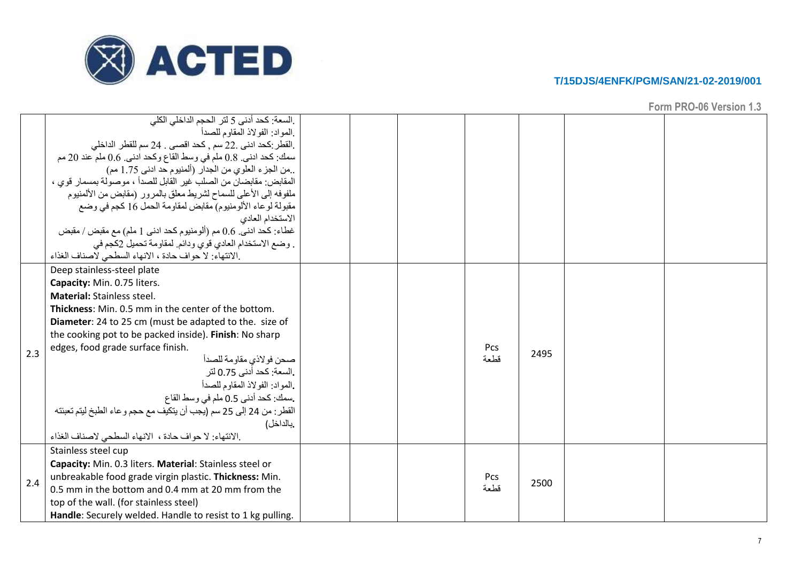

|     | ِالسعة: كحد أدنى 5 لتر الحجم الداخلي الكلي<br>المواد: الفولاذ المقاوم للصدأ.<br>.القطر :كحد ادنى .22 سم , كحد اقصى . 24 سم للقطر الداخلى<br>سمك: كحد ادنى. 0.8 ملم في وسط القاع وكحد ادنى. 0.6 ملم عند 20 مم<br>من الجزء العلوي من الجدار (ألمنيوم حد ادنى 1.75 مم)<br>المقابض: مقابضان من الصلب غير القابل للصدأ ، موصولة بمسمار قوى ،<br>ملفوفه إلى الأعلى للسماح لشريط معلق بالمرور (مقابض من الألمنيوم<br>مقبولة لوعاء الألومنيوم) مقابض لمقاومة الحمل 16 كجم في وضع<br>الاستخدام العادي<br>غطاء: كحد ادني. 0.6 مم (ألومنيوم كحد ادني 1 ملم) مع مقبض / مقبض<br>. وضع الاستخدام العادي قوى ودائم. لمقاومة تحميل 2كجم في<br>.الانتهاء: لا حواف حادة ، الانهاء السطحي لاصناف الغذاء<br>Deep stainless-steel plate |  |             |      |  |
|-----|--------------------------------------------------------------------------------------------------------------------------------------------------------------------------------------------------------------------------------------------------------------------------------------------------------------------------------------------------------------------------------------------------------------------------------------------------------------------------------------------------------------------------------------------------------------------------------------------------------------------------------------------------------------------------------------------------------------------|--|-------------|------|--|
| 2.3 | Capacity: Min. 0.75 liters.<br><b>Material: Stainless steel.</b><br>Thickness: Min. 0.5 mm in the center of the bottom.<br>Diameter: 24 to 25 cm (must be adapted to the. size of<br>the cooking pot to be packed inside). Finish: No sharp<br>edges, food grade surface finish.<br>صحن فولاذي مقاومة للصدأ<br>.السعة: كحد أدني 0.75 لتر<br>المواد: الفولاذ المقاوم للصدأ<br>يسمك: كحد أدنى 0.5 ملم في وسط القاع<br>القطر : من 24 إلى 25 سم (يجب أن يتكيف مع حجم و عاء الطبخ ليتم تعبئته<br>.بالداخل)<br>.الانتهاء: لا حواف حادة ، الانهاء السطحي لاصناف الغذاء                                                                                                                                                    |  | Pcs<br>قطعة | 2495 |  |
| 2.4 | Stainless steel cup<br>Capacity: Min. 0.3 liters. Material: Stainless steel or<br>unbreakable food grade virgin plastic. Thickness: Min.<br>0.5 mm in the bottom and 0.4 mm at 20 mm from the<br>top of the wall. (for stainless steel)<br>Handle: Securely welded. Handle to resist to 1 kg pulling.                                                                                                                                                                                                                                                                                                                                                                                                              |  | Pcs<br>قطعة | 2500 |  |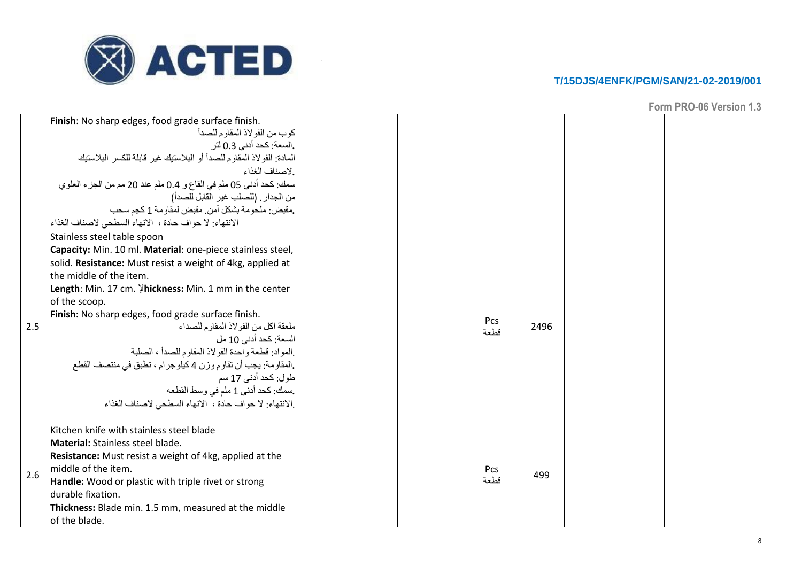

|     | Finish: No sharp edges, food grade surface finish.<br>كوب من الفو لاذ المقاوم للصدأ<br>.السعة: كحد أدنى 0.3 لتر<br>المادة: الفو لاذ المقاوم للصدأ أو البلاستيك غير قابلة للكسر البلاستيك<br>.لاصناف الغذاء<br>سمك: كحد أدنى 05 ملم في القاع و 0.4 ملم عند 20 مم من الجزء العلوي<br>من الجدار . (للصلب غير القابل للصدأ)<br>مقبض: ملحو مة بشكل آمن, مقبض لمقاو مة 1 كجم سحب<br>الانتهاء: لا حواف حادة ، الانهاء السطحي لاصناف الغذاء                                                                                                                                                                                               |  |                    |      |  |
|-----|-----------------------------------------------------------------------------------------------------------------------------------------------------------------------------------------------------------------------------------------------------------------------------------------------------------------------------------------------------------------------------------------------------------------------------------------------------------------------------------------------------------------------------------------------------------------------------------------------------------------------------------|--|--------------------|------|--|
| 2.5 | Stainless steel table spoon<br>Capacity: Min. 10 ml. Material: one-piece stainless steel,<br>solid. Resistance: Must resist a weight of 4kg, applied at<br>the middle of the item.<br>Length: Min. 17 cm. Yhickness: Min. 1 mm in the center<br>of the scoop.<br>Finish: No sharp edges, food grade surface finish.<br>ملعقة اكل من الفو لاذ المقاوم للصداء<br>السعة: كحد أدنى 10 مل<br>المواد: قطعة واحدة الفو لاذ المقاوم للصدأ ، الصلبة<br>.المقاومة: يجب أن تقاوم وزن 4 كيلوجرام ، تطبق في منتصف القطع<br>طول: كحد أدنى 17 سم<br>.سمك: كحد أدنى 1 ملم في وسط القطعه<br>.الانتهاء: لا حواف حادة ، الانهاء السطحي لاصناف الغذاء |  | <b>Pcs</b><br>قطعة | 2496 |  |
| 2.6 | Kitchen knife with stainless steel blade<br>Material: Stainless steel blade.<br>Resistance: Must resist a weight of 4kg, applied at the<br>middle of the item.<br>Handle: Wood or plastic with triple rivet or strong<br>durable fixation.<br>Thickness: Blade min. 1.5 mm, measured at the middle<br>of the blade.                                                                                                                                                                                                                                                                                                               |  | Pcs<br>قطعة        | 499  |  |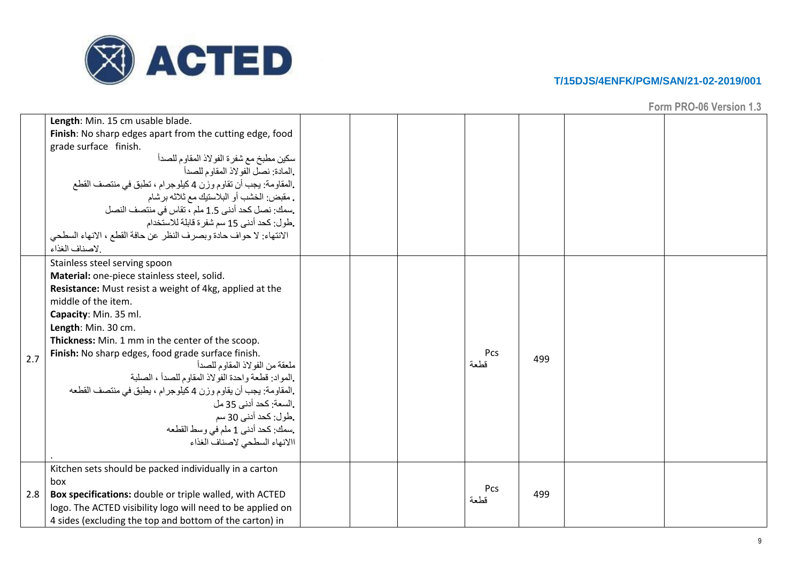

|     | Length: Min. 15 cm usable blade.<br>Finish: No sharp edges apart from the cutting edge, food<br>grade surface finish.<br>سكين مطبخ مع شفرة الفولاذ المقاوم للصدأ<br>.المادة: نصل الفولاذ المقاوم للصدأ<br>.المقاومة: يجب أن تقاوم وزن 4 كيلوجرام ، تطبق في منتصف القطع<br>. مقبض: الخشب أو البلاستيك مع ثلاثه بر شام<br>.سمك: نصل كحد أدنى 1.5 ملم ، تقاس في منتصف النصل<br>طول: كحد أدني 15 سم شفر ة قابلة للاستخدام.<br>الانتهاء: لا حواف حادة وبصرف النظر عن حافة القطع ، الانهاء السطحي<br>إلاصناف الغذاء                                                                                             |  |             |     |  |
|-----|-----------------------------------------------------------------------------------------------------------------------------------------------------------------------------------------------------------------------------------------------------------------------------------------------------------------------------------------------------------------------------------------------------------------------------------------------------------------------------------------------------------------------------------------------------------------------------------------------------------|--|-------------|-----|--|
| 2.7 | Stainless steel serving spoon<br>Material: one-piece stainless steel, solid.<br>Resistance: Must resist a weight of 4kg, applied at the<br>middle of the item.<br>Capacity: Min. 35 ml.<br>Length: Min. 30 cm.<br>Thickness: Min. 1 mm in the center of the scoop.<br>Finish: No sharp edges, food grade surface finish.<br>ملعقة من الفولاذ المقاوم للصدأ<br>.المواد: قطعة واحدة الفولاذ المقاوم للصدأ ، الصلبة<br>.المقاومة: يجب أن يقاوم وزن 4 كيلوجرام ، يطبق في منتصف القطعه<br>.السعة: كحد أدنى 35 مل<br>طول: كحد أدنى 30 سم<br>.سمك: كحد أدنى 1 ملم في وسط القطعه<br>االانهاء السطحي لاصناف الغذاء |  | Pcs<br>قطعة | 499 |  |
| 2.8 | Kitchen sets should be packed individually in a carton<br>box<br>Box specifications: double or triple walled, with ACTED<br>logo. The ACTED visibility logo will need to be applied on<br>4 sides (excluding the top and bottom of the carton) in                                                                                                                                                                                                                                                                                                                                                         |  | Pcs<br>قطعة | 499 |  |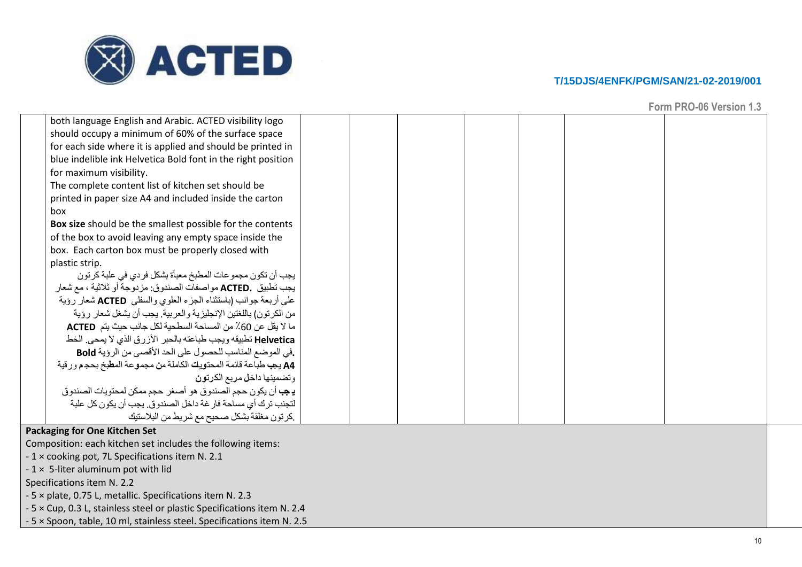

**Form PRO -06 Version 1.3**

| both language English and Arabic. ACTED visibility logo             |  |  |  |  |
|---------------------------------------------------------------------|--|--|--|--|
| should occupy a minimum of 60% of the surface space                 |  |  |  |  |
| for each side where it is applied and should be printed in          |  |  |  |  |
| blue indelible ink Helvetica Bold font in the right position        |  |  |  |  |
| for maximum visibility.                                             |  |  |  |  |
| The complete content list of kitchen set should be                  |  |  |  |  |
| printed in paper size A4 and included inside the carton             |  |  |  |  |
| hox                                                                 |  |  |  |  |
| Box size should be the smallest possible for the contents           |  |  |  |  |
| of the box to avoid leaving any empty space inside the              |  |  |  |  |
| box. Each carton box must be properly closed with                   |  |  |  |  |
| plastic strip.                                                      |  |  |  |  |
| يجب أن تكون مجموعات المطبخ معبأة بشكل فردي في علبة كرتون            |  |  |  |  |
| يجب تطبيق .ACTED مواصفات الصندوق: مزدوجة أو ثلاثية ، مع شعار        |  |  |  |  |
| على أربعة جوانب (باستثناء الجزء العلوي والسفلى ACTED شعار رؤية      |  |  |  |  |
| من الكرنون) باللغتين الإنجليزية والعربية. يجب أن يشغل شعار رؤية     |  |  |  |  |
| ما لا يقل عن 60٪ من المساحة السطحية لكل جانب حيث يتم ACTED          |  |  |  |  |
| Helvetica تطبيقه ويجب طباعته بالحبر الأزرق الذي لا يمحى الخط        |  |  |  |  |
| .في الموضع المناسب للحصول على الحد الأقصى من الرؤية Bold            |  |  |  |  |
| A4 يجب طباعة قائمة المحتويت الكاملة من مجموعة المطبخ بحجم ورقية     |  |  |  |  |
| وتضمينها داخل مريع الكرتون                                          |  |  |  |  |
| <b>يـ ڢـ</b> أن يكون حجم الصندوق هو أصـغر حجم ممكن لمحتويات الصندوق |  |  |  |  |
| التجنب ترك أي مساحة فار غة داخل الصندوق. يجب أن يكون كل علبة        |  |  |  |  |
| كرتون مغلقة بشكل صحيح مع شريط من البلاستيك                          |  |  |  |  |
| <b>Packaging for One Kitchen Set</b>                                |  |  |  |  |
| Composition: each kitchen set includes the following items:         |  |  |  |  |
| -1 × cooking pot, 7L Specifications item N. 2.1                     |  |  |  |  |
| $-1 \times 5$ -liter aluminum pot with lid                          |  |  |  |  |
| Specifications item N. 2.2                                          |  |  |  |  |
|                                                                     |  |  |  |  |

- 5 × plate, 0.75 L, metallic. Specifications item N. 2.3

- 5 × Cup, 0.3 L, stainless steel or plastic Specifications item N. 2.4 - 5 × Spoon, table, 10 ml, stainless steel. Specifications item N. 2.5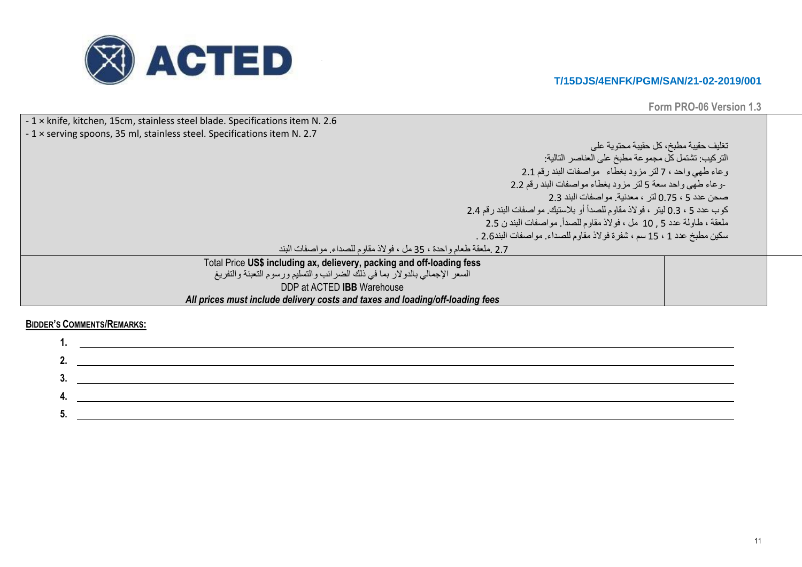

**Form PRO-06 Version 1.3**

| -1 x knife, kitchen, 15cm, stainless steel blade. Specifications item N. 2.6  |  |  |  |  |
|-------------------------------------------------------------------------------|--|--|--|--|
| -1 x serving spoons, 35 ml, stainless steel. Specifications item N. 2.7       |  |  |  |  |
| تغليف حقيبة مطبخ، كل حقيبة محتوية على                                         |  |  |  |  |
| التركيب: تشتمل كل مجموعة مطبخ على العناصر التالية:                            |  |  |  |  |
| وعاء طهي واحد ، 7 لتر مزود بغطاء ً مواصفات البندرقم 2.1                       |  |  |  |  |
| -وعاء طهي واحد سعة 5 لتر مزود بغطاء مواصفات البند رقم 2.2                     |  |  |  |  |
| صحن عدد 5 ، 0.75 لتر ، معدنية. مواصفات البند 2.3                              |  |  |  |  |
| كوب عدد 5 ، 0.3 ليتر ، فولاذ مقاوم للصدأ أو بلاستيك. مواصفات البند رقم 2.4    |  |  |  |  |
| ملعقة ، طاولة عدد 5 , 10 مل ، فولاذ مقاوم للصدأ. مواصفات البند ن 2.5          |  |  |  |  |
| سكين مطبخ عدد 1 ، 15 سم ، شفرة فولاذ مقاوم للصداء. مواصفات البند2.6 .         |  |  |  |  |
| 2.7 .ملعقة طعام واحدة ، 35 مل ، فولاذ مقاوم للصداء. مواصفات البند             |  |  |  |  |
| Total Price US\$ including ax, delievery, packing and off-loading fess        |  |  |  |  |
| السعر الإجمالي بالدولار بما في ذلك الضرائب والتسليم ورسوم التعبئة والتفريغ    |  |  |  |  |
| DDP at ACTED IBB Warehouse                                                    |  |  |  |  |
| All prices must include delivery costs and taxes and loading/off-loading fees |  |  |  |  |

**BIDDER'S COMMENTS/REMARKS:**

| .   | <u>and the state of the state of the state of the state of the state of the state of the state of the state of th</u> |
|-----|-----------------------------------------------------------------------------------------------------------------------|
| Z.  |                                                                                                                       |
| .ა. |                                                                                                                       |
|     |                                                                                                                       |
| ა.  |                                                                                                                       |